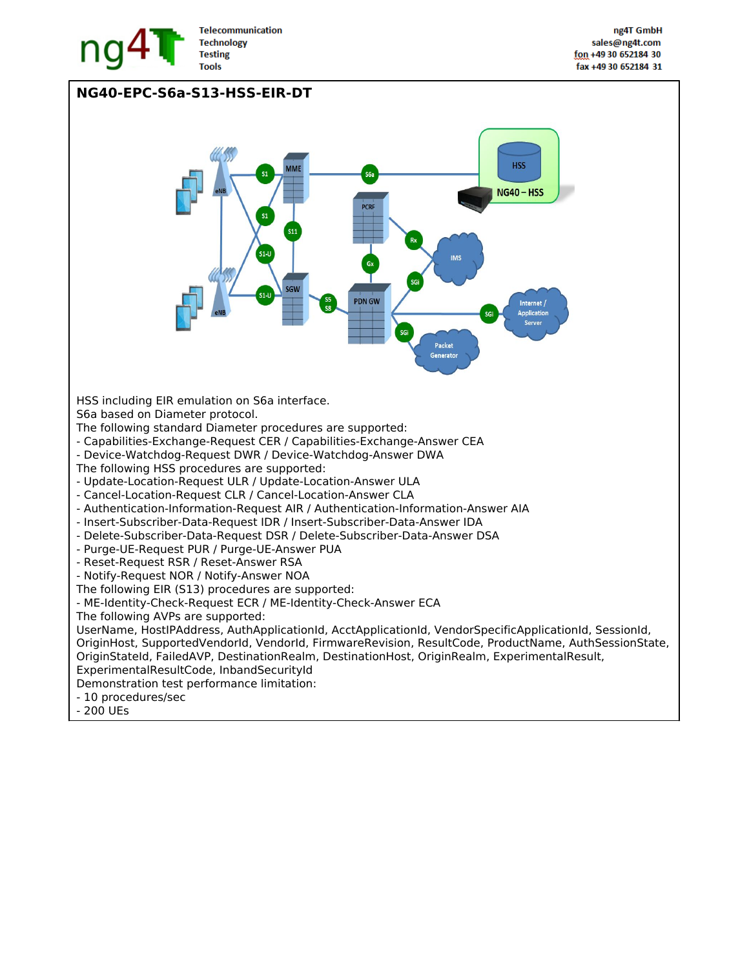

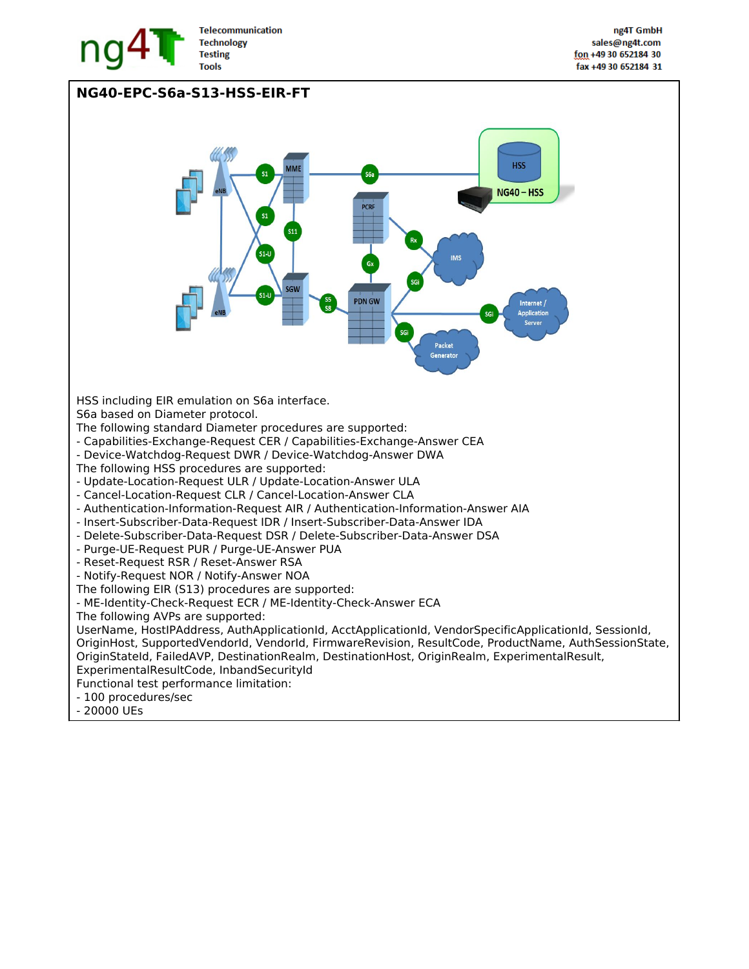